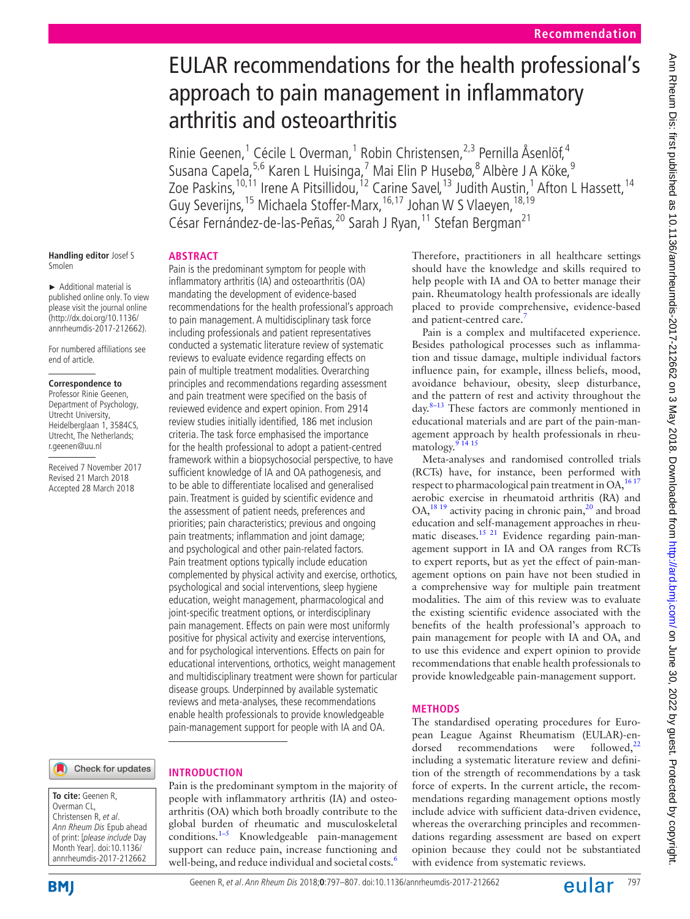# EULAR recommendations for the health professional's approach to pain management in inflammatory arthritis and osteoarthritis

Rinie Geenen,<sup>1</sup> Cécile L Overman,<sup>1</sup> Robin Christensen,<sup>2,3</sup> Pernilla Åsenlöf,<sup>4</sup> Susana Capela,<sup>5,6</sup> Karen L Huisinga,<sup>7</sup> Mai Elin P Husebø,<sup>8</sup> Albère J A Köke,<sup>9</sup> Zoe Paskins,<sup>10,11</sup> Irene A Pitsillidou,<sup>12</sup> Carine Savel,<sup>13</sup> Judith Austin,<sup>1</sup> Afton L Hassett,<sup>14</sup> Guy Severijns,<sup>15</sup> Michaela Stoffer-Marx,<sup>16,17</sup> Johan W S Vlaeyen,<sup>18,19</sup> César Fernández-de-las-Peñas,<sup>20</sup> Sarah J Ryan,<sup>11</sup> Stefan Bergman<sup>21</sup>

#### **Handling editor** Josef S Smolen

► Additional material is published online only. To view please visit the journal online (http://dx.doi.org/10.1136/ annrheumdis-2017-212662).

For numbered affiliations see end of article.

#### **Correspondence to**

Professor Rinie Geenen, Department of Psychology, Utrecht University, Heidelberglaan 1, 3584CS, Utrecht, The Netherlands; r.geenen@uu.nl

Received 7 November 2017 Revised 21 March 2018 Accepted 28 March 2018

## Check for updates

#### **To cite:** Geenen R, Overman CL, Christensen R, et al. Ann Rheum Dis Epub ahead of print: [please include Day Month Year]. doi:10.1136/ annrheumdis-2017-212662

## **Abstract**

Pain is the predominant symptom for people with inflammatory arthritis (IA) and osteoarthritis (OA) mandating the development of evidence-based recommendations for the health professional's approach to pain management. A multidisciplinary task force including professionals and patient representatives conducted a systematic literature review of systematic reviews to evaluate evidence regarding effects on pain of multiple treatment modalities. Overarching principles and recommendations regarding assessment and pain treatment were specified on the basis of reviewed evidence and expert opinion. From 2914 review studies initially identified, 186 met inclusion criteria. The task force emphasised the importance for the health professional to adopt a patient-centred framework within a biopsychosocial perspective, to have sufficient knowledge of IA and OA pathogenesis, and to be able to differentiate localised and generalised pain. Treatment is guided by scientific evidence and the assessment of patient needs, preferences and priorities; pain characteristics; previous and ongoing pain treatments; inflammation and joint damage; and psychological and other pain-related factors. Pain treatment options typically include education complemented by physical activity and exercise, orthotics, psychological and social interventions, sleep hygiene education, weight management, pharmacological and joint-specific treatment options, or interdisciplinary pain management. Effects on pain were most uniformly positive for physical activity and exercise interventions, and for psychological interventions. Effects on pain for educational interventions, orthotics, weight management and multidisciplinary treatment were shown for particular disease groups. Underpinned by available systematic reviews and meta-analyses, these recommendations enable health professionals to provide knowledgeable pain-management support for people with IA and OA.

Pain is the predominant symptom in the majority of people with inflammatory arthritis (IA) and osteoarthritis (OA) which both broadly contribute to the global burden of rheumatic and musculoskeletal conditions. $1-5$  Knowledgeable pain-management support can reduce pain, increase functioning and well-being, and reduce individual and societal costs.<sup>[6](#page-8-1)</sup>

**Introduction**

Therefore, practitioners in all healthcare settings should have the knowledge and skills required to help people with IA and OA to better manage their pain. Rheumatology health professionals are ideally placed to provide comprehensive, evidence-based and patient-centred care.<sup>[7](#page-8-2)</sup>

Pain is a complex and multifaceted experience. Besides pathological processes such as inflammation and tissue damage, multiple individual factors influence pain, for example, illness beliefs, mood, avoidance behaviour, obesity, sleep disturbance, and the pattern of rest and activity throughout the day.[8–13](#page-8-3) These factors are commonly mentioned in educational materials and are part of the pain-management approach by health professionals in rheumatology[.9 14 15](#page-8-4)

Meta-analyses and randomised controlled trials (RCTs) have, for instance, been performed with respect to pharmacological pain treatment in OA,<sup>1617</sup> aerobic exercise in rheumatoid arthritis (RA) and  $OA<sub>1</sub><sup>18 19</sup>$  activity pacing in chronic pain,<sup>[20](#page-9-2)</sup> and broad education and self-management approaches in rheumatic diseases. $15 \times 21$  Evidence regarding pain-management support in IA and OA ranges from RCTs to expert reports, but as yet the effect of pain-management options on pain have not been studied in a comprehensive way for multiple pain treatment modalities. The aim of this review was to evaluate the existing scientific evidence associated with the benefits of the health professional's approach to pain management for people with IA and OA, and to use this evidence and expert opinion to provide recommendations that enable health professionals to provide knowledgeable pain-management support.

## **Methods**

The standardised operating procedures for European League Against Rheumatism (EULAR)-en-<br>dorsed recommendations were followed,<sup>22</sup> dorsed recommendations were including a systematic literature review and definition of the strength of recommendations by a task force of experts. In the current article, the recommendations regarding management options mostly include advice with sufficient data-driven evidence, whereas the overarching principles and recommendations regarding assessment are based on expert opinion because they could not be substantiated with evidence from systematic reviews.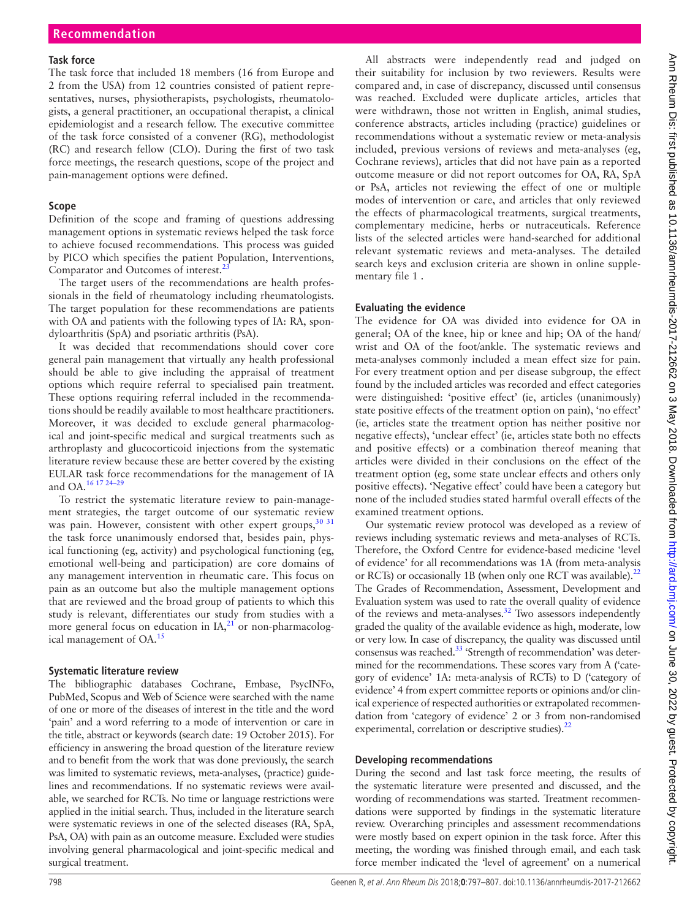#### **Task force**

The task force that included 18 members (16 from Europe and 2 from the USA) from 12 countries consisted of patient representatives, nurses, physiotherapists, psychologists, rheumatologists, a general practitioner, an occupational therapist, a clinical epidemiologist and a research fellow. The executive committee of the task force consisted of a convener (RG), methodologist (RC) and research fellow (CLO). During the first of two task force meetings, the research questions, scope of the project and pain-management options were defined.

#### **Scope**

Definition of the scope and framing of questions addressing management options in systematic reviews helped the task force to achieve focused recommendations. This process was guided by PICO which specifies the patient Population, Interventions, Comparator and Outcomes of interest.<sup>2</sup>

The target users of the recommendations are health professionals in the field of rheumatology including rheumatologists. The target population for these recommendations are patients with OA and patients with the following types of IA: RA, spondyloarthritis (SpA) and psoriatic arthritis (PsA).

It was decided that recommendations should cover core general pain management that virtually any health professional should be able to give including the appraisal of treatment options which require referral to specialised pain treatment. These options requiring referral included in the recommendations should be readily available to most healthcare practitioners. Moreover, it was decided to exclude general pharmacological and joint-specific medical and surgical treatments such as arthroplasty and glucocorticoid injections from the systematic literature review because these are better covered by the existing EULAR task force recommendations for the management of IA and OA[.16 17 24–29](#page-9-0)

To restrict the systematic literature review to pain-management strategies, the target outcome of our systematic review was pain. However, consistent with other expert groups, [30 31](#page-9-6) the task force unanimously endorsed that, besides pain, physical functioning (eg, activity) and psychological functioning (eg, emotional well-being and participation) are core domains of any management intervention in rheumatic care. This focus on pain as an outcome but also the multiple management options that are reviewed and the broad group of patients to which this study is relevant, differentiates our study from studies with a more general focus on education in  $IA<sub>21</sub><sup>21</sup>$  or non-pharmacological management of  $OA<sup>15</sup>$ 

#### **Systematic literature review**

The bibliographic databases Cochrane, Embase, PsycINFo, PubMed, Scopus and Web of Science were searched with the name of one or more of the diseases of interest in the title and the word 'pain' and a word referring to a mode of intervention or care in the title, abstract or keywords (search date: 19 October 2015). For efficiency in answering the broad question of the literature review and to benefit from the work that was done previously, the search was limited to systematic reviews, meta-analyses, (practice) guidelines and recommendations. If no systematic reviews were available, we searched for RCTs. No time or language restrictions were applied in the initial search. Thus, included in the literature search were systematic reviews in one of the selected diseases (RA, SpA, PsA, OA) with pain as an outcome measure. Excluded were studies involving general pharmacological and joint-specific medical and surgical treatment.

All abstracts were independently read and judged on their suitability for inclusion by two reviewers. Results were compared and, in case of discrepancy, discussed until consensus was reached. Excluded were duplicate articles, articles that were withdrawn, those not written in English, animal studies, conference abstracts, articles including (practice) guidelines or recommendations without a systematic review or meta-analysis included, previous versions of reviews and meta-analyses (eg, Cochrane reviews), articles that did not have pain as a reported outcome measure or did not report outcomes for OA, RA, SpA or PsA, articles not reviewing the effect of one or multiple modes of intervention or care, and articles that only reviewed the effects of pharmacological treatments, surgical treatments, complementary medicine, herbs or nutraceuticals. Reference lists of the selected articles were hand-searched for additional relevant systematic reviews and meta-analyses. The detailed search keys and exclusion criteria are shown in online [supple](https://dx.doi.org/10.1136/annrheumdis-2017-212662)[mentary file 1](https://dx.doi.org/10.1136/annrheumdis-2017-212662) .

#### **Evaluating the evidence**

The evidence for OA was divided into evidence for OA in general; OA of the knee, hip or knee and hip; OA of the hand/ wrist and OA of the foot/ankle. The systematic reviews and meta-analyses commonly included a mean effect size for pain. For every treatment option and per disease subgroup, the effect found by the included articles was recorded and effect categories were distinguished: 'positive effect' (ie, articles (unanimously) state positive effects of the treatment option on pain), 'no effect' (ie, articles state the treatment option has neither positive nor negative effects), 'unclear effect' (ie, articles state both no effects and positive effects) or a combination thereof meaning that articles were divided in their conclusions on the effect of the treatment option (eg, some state unclear effects and others only positive effects). 'Negative effect' could have been a category but none of the included studies stated harmful overall effects of the examined treatment options.

Our systematic review protocol was developed as a review of reviews including systematic reviews and meta-analyses of RCTs. Therefore, the Oxford Centre for evidence-based medicine 'level of evidence' for all recommendations was 1A (from meta-analysis or RCTs) or occasionally 1B (when only one RCT was available).<sup>[22](#page-9-4)</sup> The Grades of Recommendation, Assessment, Development and Evaluation system was used to rate the overall quality of evidence of the reviews and meta-analyses.<sup>32</sup> Two assessors independently graded the quality of the available evidence as high, moderate, low or very low. In case of discrepancy, the quality was discussed until consensus was reached.<sup>33</sup> 'Strength of recommendation' was determined for the recommendations. These scores vary from A ('category of evidence' 1A: meta-analysis of RCTs) to D ('category of evidence' 4 from expert committee reports or opinions and/or clinical experience of respected authorities or extrapolated recommendation from 'category of evidence' 2 or 3 from non-randomised experimental, correlation or descriptive studies).<sup>22</sup>

#### **Developing recommendations**

During the second and last task force meeting, the results of the systematic literature were presented and discussed, and the wording of recommendations was started. Treatment recommendations were supported by findings in the systematic literature review. Overarching principles and assessment recommendations were mostly based on expert opinion in the task force. After this meeting, the wording was finished through email, and each task force member indicated the 'level of agreement' on a numerical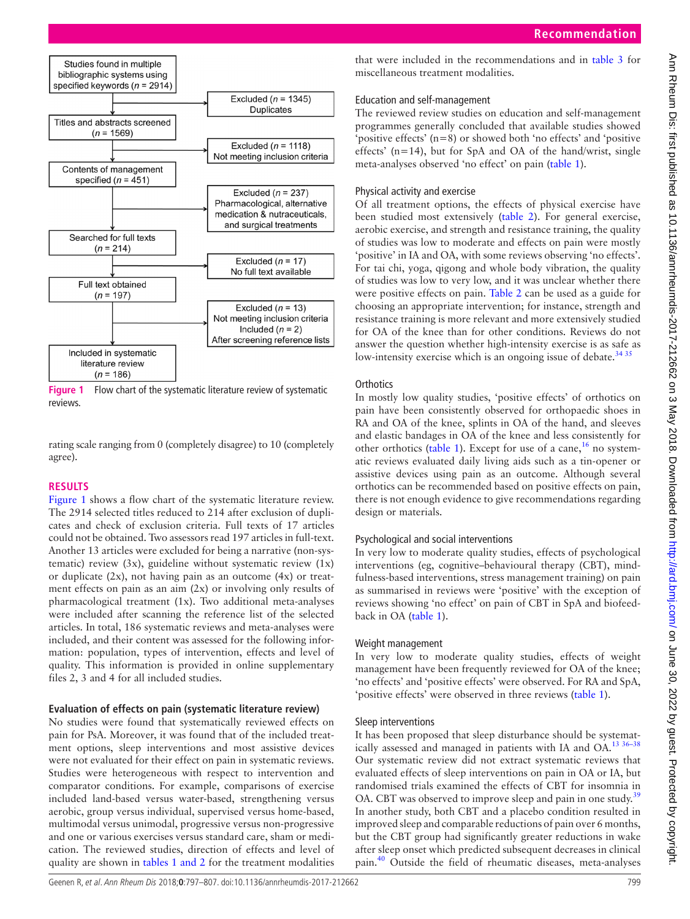

<span id="page-2-0"></span>**Figure 1** Flow chart of the systematic literature review of systematic reviews.

rating scale ranging from 0 (completely disagree) to 10 (completely agree).

## **Results**

[Figure](#page-2-0) 1 shows a flow chart of the systematic literature review. The 2914 selected titles reduced to 214 after exclusion of duplicates and check of exclusion criteria. Full texts of 17 articles could not be obtained. Two assessors read 197 articles in full-text. Another 13 articles were excluded for being a narrative (non-systematic) review  $(3x)$ , guideline without systematic review  $(1x)$ or duplicate (2x), not having pain as an outcome (4x) or treatment effects on pain as an aim (2x) or involving only results of pharmacological treatment (1x). Two additional meta-analyses were included after scanning the reference list of the selected articles. In total, 186 systematic reviews and meta-analyses were included, and their content was assessed for the following information: population, types of intervention, effects and level of quality. This information is provided in online [supplementary](https://dx.doi.org/10.1136/annrheumdis-2017-212662)  [files 2, 3 and 4](https://dx.doi.org/10.1136/annrheumdis-2017-212662) for all included studies.

## **Evaluation of effects on pain (systematic literature review)**

No studies were found that systematically reviewed effects on pain for PsA. Moreover, it was found that of the included treatment options, sleep interventions and most assistive devices were not evaluated for their effect on pain in systematic reviews. Studies were heterogeneous with respect to intervention and comparator conditions. For example, comparisons of exercise included land-based versus water-based, strengthening versus aerobic, group versus individual, supervised versus home-based, multimodal versus unimodal, progressive versus non-progressive and one or various exercises versus standard care, sham or medication. The reviewed studies, direction of effects and level of quality are shown in tables [1 and 2](#page-3-0) for the treatment modalities

that were included in the recommendations and in [table](#page-4-0) 3 for miscellaneous treatment modalities.

## Education and self-management

The reviewed review studies on education and self-management programmes generally concluded that available studies showed 'positive effects' (n=8) or showed both 'no effects' and 'positive effects' (n=14), but for SpA and OA of the hand/wrist, single meta-analyses observed 'no effect' on pain [\(table](#page-3-0) 1).

#### Physical activity and exercise

Of all treatment options, the effects of physical exercise have been studied most extensively [\(table](#page-3-1) 2). For general exercise, aerobic exercise, and strength and resistance training, the quality of studies was low to moderate and effects on pain were mostly 'positive' in IA and OA, with some reviews observing 'no effects'. For tai chi, yoga, qigong and whole body vibration, the quality of studies was low to very low, and it was unclear whether there were positive effects on pain. [Table](#page-3-1) 2 can be used as a guide for choosing an appropriate intervention; for instance, strength and resistance training is more relevant and more extensively studied for OA of the knee than for other conditions. Reviews do not answer the question whether high-intensity exercise is as safe as low-intensity exercise which is an ongoing issue of debate.<sup>343</sup>

## **Orthotics**

In mostly low quality studies, 'positive effects' of orthotics on pain have been consistently observed for orthopaedic shoes in RA and OA of the knee, splints in OA of the hand, and sleeves and elastic bandages in OA of the knee and less consistently for other orthotics [\(table](#page-3-0) 1). Except for use of a cane,  $^{16}$  no systematic reviews evaluated daily living aids such as a tin-opener or assistive devices using pain as an outcome. Although several orthotics can be recommended based on positive effects on pain, there is not enough evidence to give recommendations regarding design or materials.

## Psychological and social interventions

In very low to moderate quality studies, effects of psychological interventions (eg, cognitive–behavioural therapy (CBT), mindfulness-based interventions, stress management training) on pain as summarised in reviews were 'positive' with the exception of reviews showing 'no effect' on pain of CBT in SpA and biofeedback in OA ([table](#page-3-0) 1).

## Weight management

In very low to moderate quality studies, effects of weight management have been frequently reviewed for OA of the knee; 'no effects' and 'positive effects' were observed. For RA and SpA, 'positive effects' were observed in three reviews ([table](#page-3-0) 1).

#### Sleep interventions

It has been proposed that sleep disturbance should be systematically assessed and managed in patients with IA and OA.[13 36–38](#page-9-11) Our systematic review did not extract systematic reviews that evaluated effects of sleep interventions on pain in OA or IA, but randomised trials examined the effects of CBT for insomnia in OA. CBT was observed to improve sleep and pain in one study.<sup>[39](#page-9-12)</sup> In another study, both CBT and a placebo condition resulted in improved sleep and comparable reductions of pain over 6 months, but the CBT group had significantly greater reductions in wake after sleep onset which predicted subsequent decreases in clinical pain.[40](#page-9-13) Outside the field of rheumatic diseases, meta-analyses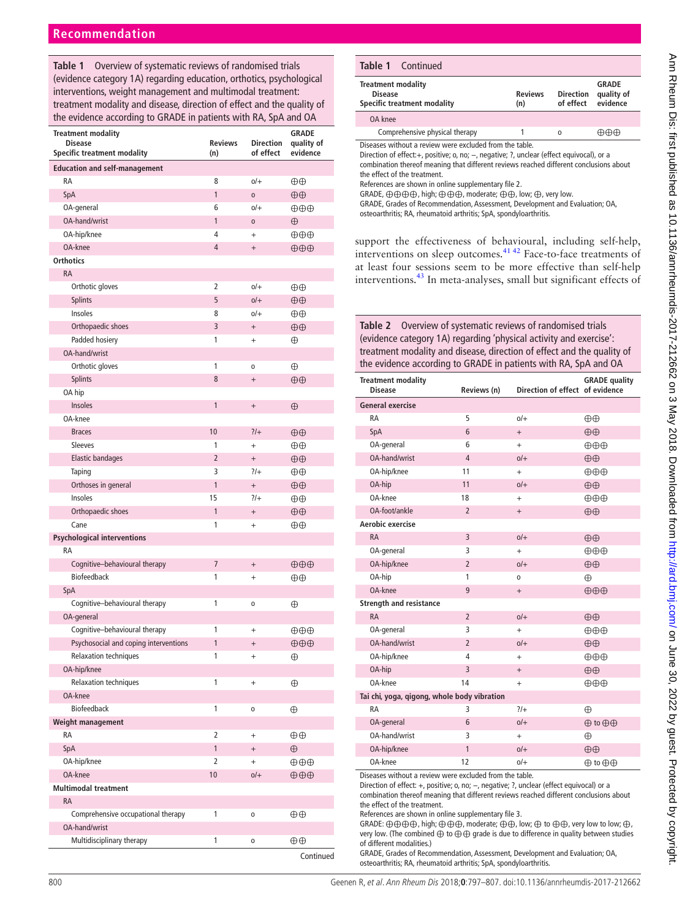<span id="page-3-0"></span>**Table 1** Overview of systematic reviews of randomised trials (evidence category 1A) regarding education, orthotics, psychological interventions, weight management and multimodal treatment: treatment modality and disease, direction of effect and the quality of the evidence according to GRADE in patients with RA, SpA and OA

| <b>Treatment modality</b><br><b>Disease</b> | <b>Reviews</b>      | <b>Direction</b><br>of effect    | <b>GRADE</b><br>quality of<br>evidence |
|---------------------------------------------|---------------------|----------------------------------|----------------------------------------|
| <b>Specific treatment modality</b>          | (n)                 |                                  |                                        |
| <b>Education and self-management</b>        |                     |                                  |                                        |
| <b>RA</b>                                   | 8<br>$\mathbf{1}$   | $0/+$                            | $\oplus$                               |
| SpA                                         |                     | $\overline{0}$                   | $\oplus$                               |
| OA-general                                  | 6<br>$\mathbf{1}$   | $O/$ +                           | ⊕⊕⊕                                    |
| <b>OA-hand/wrist</b>                        |                     | $\overline{0}$                   | $\oplus$                               |
| OA-hip/knee                                 | 4<br>$\overline{4}$ | $+$                              | ⊕⊕⊕                                    |
| OA-knee<br><b>Orthotics</b>                 |                     | $\qquad \qquad +$                | $\oplus \oplus \oplus$                 |
| <b>RA</b>                                   |                     |                                  |                                        |
| Orthotic gloves                             | $\overline{2}$      | 0/                               |                                        |
| <b>Splints</b>                              | 5                   | $0/+$                            | $\oplus$<br>$\oplus$                   |
| Insoles                                     | 8                   | $0/+$                            |                                        |
|                                             | 3                   |                                  | $\oplus\oplus$                         |
| Orthopaedic shoes                           | 1                   | $+$                              | $\oplus\oplus$                         |
| Padded hosiery                              |                     | $+$                              | $\oplus$                               |
| <b>OA-hand/wrist</b><br>Orthotic gloves     | 1                   |                                  |                                        |
|                                             |                     | 0                                | $\oplus$                               |
| Splints                                     | 8                   | $^{+}$                           | $\oplus$                               |
| OA hip                                      | 1                   |                                  |                                        |
| Insoles                                     |                     | $^{+}$                           | $\oplus$                               |
| OA-knee                                     |                     |                                  |                                        |
| <b>Braces</b>                               | 10                  | $?1+$                            | $\oplus$                               |
| Sleeves                                     | 1                   | $^{+}$                           | $\oplus$                               |
| <b>Elastic bandages</b>                     | $\overline{2}$      | $\ddot{}$                        | $\oplus$                               |
| Taping                                      | 3                   | $?1+$                            | $\oplus$                               |
| Orthoses in general                         | $\mathbf{1}$        | $\ddot{}$                        | $\oplus$                               |
| Insoles                                     | 15                  | $?1+$                            | $\oplus\oplus$                         |
| Orthopaedic shoes                           | 1                   | $^{+}$                           | $\oplus$                               |
| Cane                                        | 1                   | $+$                              | $\oplus\oplus$                         |
| <b>Psychological interventions</b><br>RA    |                     |                                  |                                        |
| Cognitive-behavioural therapy               | $\overline{7}$      | $^{+}$                           | $\oplus \oplus \oplus$                 |
| Biofeedback                                 | 1                   | $^{+}$                           | $\oplus$                               |
| SpA                                         |                     |                                  |                                        |
| Cognitive-behavioural therapy               | 1                   | 0                                | $\oplus$                               |
| OA-general                                  |                     |                                  |                                        |
| Cognitive-behavioural therapy               | 1                   | $\ddot{}$                        | ⊕⊕⊕                                    |
| Psychosocial and coping interventions       | 1                   | $\begin{array}{c} + \end{array}$ | ⊕⊕⊕                                    |
| Relaxation techniques                       | 1                   | $\ddot{}$                        | $_{\oplus}$                            |
| OA-hip/knee                                 |                     |                                  |                                        |
| Relaxation techniques                       | 1                   | $^{+}$                           | $_{\oplus}$                            |
| OA-knee                                     |                     |                                  |                                        |
| <b>Biofeedback</b>                          | 1                   | 0                                | $_{\oplus}$                            |
| Weight management                           |                     |                                  |                                        |
| <b>RA</b>                                   | 2                   | $^{+}$                           | $\oplus\oplus$                         |
| SpA                                         | $\mathbf{1}$        | $^{+}$                           | $\oplus$                               |
| OA-hip/knee                                 | 2                   | $^{+}$                           | $\oplus\oplus\oplus$                   |
| OA-knee                                     | 10                  | $0/+$                            | $\oplus \oplus \oplus$                 |
| <b>Multimodal treatment</b>                 |                     |                                  |                                        |
| <b>RA</b>                                   |                     |                                  |                                        |
| Comprehensive occupational therapy          | 1                   | 0                                | $\oplus\oplus$                         |
| <b>OA-hand/wrist</b>                        |                     |                                  |                                        |
| Multidisciplinary therapy                   | 1                   | 0                                | ⊕⊕                                     |
|                                             |                     |                                  | Continued                              |

| <b>Table 1</b> Continued                                                   |                       |                               |                                        |  |
|----------------------------------------------------------------------------|-----------------------|-------------------------------|----------------------------------------|--|
| <b>Treatment modality</b><br><b>Disease</b><br>Specific treatment modality | <b>Reviews</b><br>(n) | <b>Direction</b><br>of effect | <b>GRADE</b><br>quality of<br>evidence |  |
| OA knee                                                                    |                       |                               |                                        |  |
| Comprehensive physical therapy                                             |                       | O                             | ⊕⊕⊕                                    |  |
| Diseases without a review were excluded from the table.                    |                       |                               |                                        |  |

Direction of effect:+, positive; o, no; -, negative; ?, unclear (effect equivocal), or a combination thereof meaning that different reviews reached different conclusions about the effect of the treatment.

References are shown in online [supplementary file 2](https://dx.doi.org/10.1136/annrheumdis-2017-212662).

GRADE, ⊕⊕⊕⊕, high; ⊕⊕⊕, moderate; ⊕⊕, low; ⊕, very low. GRADE, Grades of Recommendation, Assessment, Development and Evaluation; OA,

osteoarthritis; RA, rheumatoid arthritis; SpA, spondyloarthritis.

support the effectiveness of behavioural, including self-help, interventions on sleep outcomes.<sup>41,42</sup> Face-to-face treatments of at least four sessions seem to be more effective than self-help interventions.[43](#page-9-15) In meta-analyses, small but significant effects of

<span id="page-3-1"></span>

| <b>Table 2</b> Overview of systematic reviews of randomised trials     |
|------------------------------------------------------------------------|
| (evidence category 1A) regarding 'physical activity and exercise':     |
| treatment modality and disease, direction of effect and the quality of |
| the evidence according to GRADE in patients with RA, SpA and OA        |

|                                | <b>Treatment modality</b><br><b>Disease</b>            | Reviews (n)    | Direction of effect of evidence | <b>GRADE</b> quality          |  |
|--------------------------------|--------------------------------------------------------|----------------|---------------------------------|-------------------------------|--|
| <b>General exercise</b>        |                                                        |                |                                 |                               |  |
|                                | RA                                                     | 5              | 0/                              | $\oplus$                      |  |
|                                | SpA                                                    | 6              | $+$                             | $\oplus$                      |  |
|                                | OA-general                                             | 6              | $^{+}$                          | $\oplus\oplus\oplus$          |  |
|                                | <b>OA-hand/wrist</b>                                   | $\overline{4}$ | O/                              | $\oplus$                      |  |
|                                | OA-hip/knee                                            | 11             | $+$                             | $\oplus \oplus \oplus$        |  |
|                                | OA-hip                                                 | 11             | 0/                              | $\oplus$                      |  |
|                                | OA-knee                                                | 18             | $+$                             | $\oplus \oplus \oplus$        |  |
|                                | OA-foot/ankle                                          | $\overline{2}$ | $+$                             | $\oplus$                      |  |
| Aerobic exercise               |                                                        |                |                                 |                               |  |
|                                | <b>RA</b>                                              | 3              | $0/+$                           | $\oplus$                      |  |
|                                | OA-general                                             | 3              | $+$                             | $\oplus \oplus \oplus$        |  |
|                                | OA-hip/knee                                            | $\overline{2}$ | 0/                              | $\oplus$                      |  |
|                                | OA-hip                                                 | 1              | 0                               | $\oplus$                      |  |
|                                | OA-knee                                                | 9              | $^{+}$                          | $\oplus \oplus \oplus$        |  |
| <b>Strength and resistance</b> |                                                        |                |                                 |                               |  |
|                                | <b>RA</b>                                              | $\overline{2}$ | O/                              | $\oplus$                      |  |
|                                | OA-general                                             | 3              | $\ddot{}$                       | $\oplus \oplus \oplus$        |  |
|                                | <b>OA-hand/wrist</b>                                   | $\overline{2}$ | $0/+$                           | $\oplus$                      |  |
|                                | OA-hip/knee                                            | 4              | $^{+}$                          | $\oplus \oplus \oplus$        |  |
|                                | OA-hip                                                 | $\overline{3}$ | $+$                             | $\oplus$                      |  |
|                                | OA-knee                                                | 14             | $+$                             | $\oplus \oplus \oplus$        |  |
|                                | Tai chi, yoga, qigong, whole body vibration            |                |                                 |                               |  |
|                                | <b>RA</b>                                              | 3              | $?1+$                           | $\oplus$                      |  |
|                                | OA-general                                             | 6              | $0/$ +                          | $\oplus$ to $\oplus$ $\oplus$ |  |
|                                | OA-hand/wrist                                          | 3              | $^{+}$                          | $\oplus$                      |  |
|                                | OA-hip/knee                                            | $\mathbf{1}$   | 0/                              | $\oplus$                      |  |
|                                | OA-knee                                                | 12             | 0/                              | $\oplus$ to $\oplus$ $\oplus$ |  |
|                                | Diseases without a review were excluded from the table |                |                                 |                               |  |

Diseases without a review were excluded from the table.

Direction of effect: +, positive; o, no; -, negative; ?, unclear (effect equivocal) or a combination thereof meaning that different reviews reached different conclusions about the effect of the treatment.

References are shown in online [supplementary file 3](https://dx.doi.org/10.1136/annrheumdis-2017-212662).

GRADE: ⊕⊕⊕⊕, high; ⊕⊕⊕, moderate; ⊕⊕, low; ⊕ to ⊕⊕, very low to low; ⊕, very low. (The combined ⊕ to ⊕⊕ grade is due to difference in quality between studies of different modalities.)

GRADE, Grades of Recommendation, Assessment, Development and Evaluation; OA, osteoarthritis; RA, rheumatoid arthritis; SpA, spondyloarthritis.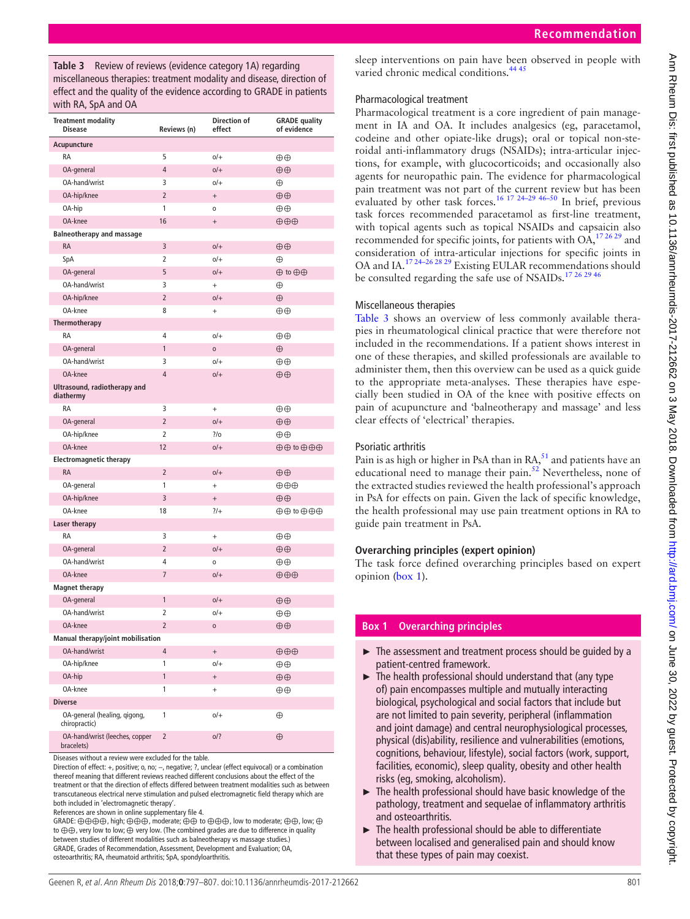<span id="page-4-0"></span>**Table 3** Review of reviews (evidence category 1A) regarding miscellaneous therapies: treatment modality and disease, direction of effect and the quality of the evidence according to GRADE in patients with RA, SpA and OA

| <b>Treatment modality</b><br><b>Disease</b>   | Reviews (n)    | <b>Direction of</b><br>effect | <b>GRADE</b> quality<br>of evidence    |
|-----------------------------------------------|----------------|-------------------------------|----------------------------------------|
| Acupuncture                                   |                |                               |                                        |
| <b>RA</b>                                     | 5              | $0/+$                         | $\oplus\oplus$                         |
| OA-general                                    | $\overline{4}$ | $0/+$                         | $\oplus$                               |
| OA-hand/wrist                                 | 3              | $0/+$                         | $\oplus$                               |
| OA-hip/knee                                   | $\overline{2}$ | $+$                           | $\oplus$                               |
| OA-hip                                        | 1              | 0                             | $\oplus$                               |
| OA-knee                                       | 16             | $\ddot{}$                     | $\oplus \oplus \oplus$                 |
| <b>Balneotherapy and massage</b>              |                |                               |                                        |
| RA                                            | 3              | $0/+$                         | $\oplus\oplus$                         |
| SpA                                           | $\overline{2}$ | $0/+$                         | $\oplus$                               |
| OA-general                                    | 5              | $0/+$                         | $\oplus$ to $\oplus$ $\oplus$          |
| OA-hand/wrist                                 | 3              | $\ddot{}$                     | $\oplus$                               |
| OA-hip/knee                                   | $\overline{2}$ | $0/+$                         | $\oplus$                               |
| OA-knee                                       | 8              | $\ddot{+}$                    | $\oplus\oplus$                         |
| <b>Thermotherapy</b>                          |                |                               |                                        |
| <b>RA</b>                                     | 4              | $0/+$                         | ⊕⊕                                     |
| OA-general                                    | 1              | $\mathbf 0$                   | $\oplus$                               |
| OA-hand/wrist                                 | 3              | $0/+$                         | $\oplus\oplus$                         |
| OA-knee                                       | $\overline{4}$ | $0/+$                         | $\oplus$                               |
| Ultrasound, radiotherapy and<br>diathermy     |                |                               |                                        |
| <b>RA</b>                                     | 3              | $+$                           | $\oplus\oplus$                         |
| OA-general                                    | $\overline{2}$ | $0/+$                         | $\oplus$                               |
| OA-hip/knee                                   | $\overline{2}$ | $?$ /0                        | $\oplus\oplus$                         |
| OA-knee                                       | 12             | $0/+$                         | $\oplus\oplus$ to $\oplus\oplus\oplus$ |
| <b>Electromagnetic therapy</b>                |                |                               |                                        |
| <b>RA</b>                                     | $\overline{2}$ | $0/+$                         | $\oplus\oplus$                         |
| OA-general                                    | 1              | $+$                           | ⊕⊕⊕                                    |
| OA-hip/knee                                   | 3              | $\ddot{}$                     | $\oplus$                               |
| OA-knee                                       | 18             | $?1+$                         | $\oplus\oplus$ to $\oplus\oplus\oplus$ |
| <b>Laser therapy</b>                          |                |                               |                                        |
| <b>RA</b>                                     | 3              | $+$                           | $\oplus\oplus$                         |
| OA-general                                    | $\overline{2}$ | $0/+$                         | $\oplus\oplus$                         |
| OA-hand/wrist                                 | 4              | $\circ$                       | $\oplus$                               |
| OA-knee                                       | $\overline{7}$ | $0/+$                         | $\oplus \oplus \oplus$                 |
| <b>Magnet therapy</b>                         |                |                               |                                        |
| OA-general                                    | 1              | $0/+$                         | $\oplus\oplus$                         |
| OA-hand/wrist                                 | $\overline{2}$ | 0/                            | $\oplus\oplus$                         |
| OA-knee                                       | $\overline{2}$ | $\mathbf 0$                   | $\oplus\oplus$                         |
| Manual therapy/joint mobilisation             |                |                               |                                        |
| <b>OA-hand/wrist</b>                          | 4              | $^{+}$                        | ⊕⊕⊕                                    |
| OA-hip/knee                                   | 1              | $0/+$                         | $\oplus\oplus$                         |
| OA-hip                                        | $\mathbf{1}$   | $^{+}$                        | $\oplus\oplus$                         |
| OA-knee                                       | 1              | $+$                           | $\oplus\oplus$                         |
| <b>Diverse</b>                                |                |                               |                                        |
| OA-general (healing, qigong,<br>chiropractic) | 1              | $0/+$                         | $_{\oplus}$                            |
| OA-hand/wrist (leeches, copper<br>bracelets)  | $\overline{2}$ | 0/?                           | $_{\oplus}$                            |

Diseases without a review were excluded for the table.

Direction of effect: +, positive; o, no; −, negative; ?, unclear (effect equivocal) or a combination thereof meaning that different reviews reached different conclusions about the effect of the treatment or that the direction of effects differed between treatment modalities such as between transcutaneous electrical nerve stimulation and pulsed electromagnetic field therapy which are both included in 'electromagnetic therapy'.

References are shown in online [supplementary file 4.](https://dx.doi.org/10.1136/annrheumdis-2017-212662)

GRADE: ⊕⊕⊕⊕, high; ⊕⊕⊕, moderate; ⊕⊕ to ⊕⊕⊕, low to moderate; ⊕⊕, low; ⊕ to ⊕⊕, very low to low; ⊕ very low. (The combined grades are due to difference in quality between studies of different modalities such as balneotherapy vs massage studies.) GRADE, Grades of Recommendation, Assessment, Development and Evaluation; OA, osteoarthritis; RA, rheumatoid arthritis; SpA, spondyloarthritis.

sleep interventions on pain have been observed in people with varied chronic medical conditions.<sup>[44 45](#page-9-16)</sup>

#### Pharmacological treatment

Pharmacological treatment is a core ingredient of pain management in IA and OA. It includes analgesics (eg, paracetamol, codeine and other opiate-like drugs); oral or topical non-steroidal anti-inflammatory drugs (NSAIDs); intra-articular injections, for example, with glucocorticoids; and occasionally also agents for neuropathic pain. The evidence for pharmacological pain treatment was not part of the current review but has been evaluated by other task forces.<sup>[16 17 24–29 46–50](#page-9-0)</sup> In brief, previous task forces recommended paracetamol as first-line treatment, with topical agents such as topical NSAIDs and capsaicin also recommended for specific joints, for patients with  $O\hat{A}$ ,  $17\frac{26\frac{29}{2}}{2}$  and consideration of intra-articular injections for specific joints in OA and IA.<sup>[17 24–26 28 29](#page-9-17)</sup> Existing EULAR recommendations should be consulted regarding the safe use of NSAIDs.<sup>[17 26 29 46](#page-9-17)</sup>

#### Miscellaneous therapies

[Table](#page-4-0) 3 shows an overview of less commonly available therapies in rheumatological clinical practice that were therefore not included in the recommendations. If a patient shows interest in one of these therapies, and skilled professionals are available to administer them, then this overview can be used as a quick guide to the appropriate meta-analyses. These therapies have especially been studied in OA of the knee with positive effects on pain of acupuncture and 'balneotherapy and massage' and less clear effects of 'electrical' therapies.

#### Psoriatic arthritis

Pain is as high or higher in PsA than in  $\mathbb{R}A$ ,  $^{51}$  and patients have an educational need to manage their pain.<sup>52</sup> Nevertheless, none of the extracted studies reviewed the health professional's approach in PsA for effects on pain. Given the lack of specific knowledge, the health professional may use pain treatment options in RA to guide pain treatment in PsA.

#### **Overarching principles (expert opinion)**

The task force defined overarching principles based on expert opinion [\(box](#page-4-1) 1).

## **Box 1 Overarching principles**

- <span id="page-4-1"></span>► The assessment and treatment process should be guided by a patient-centred framework.
- $\blacktriangleright$  The health professional should understand that (any type of) pain encompasses multiple and mutually interacting biological, psychological and social factors that include but are not limited to pain severity, peripheral (inflammation and joint damage) and central neurophysiological processes, physical (dis)ability, resilience and vulnerabilities (emotions, cognitions, behaviour, lifestyle), social factors (work, support, facilities, economic), sleep quality, obesity and other health risks (eg, smoking, alcoholism).
- ► The health professional should have basic knowledge of the pathology, treatment and sequelae of inflammatory arthritis and osteoarthritis.
- ► The health professional should be able to differentiate between localised and generalised pain and should know that these types of pain may coexist.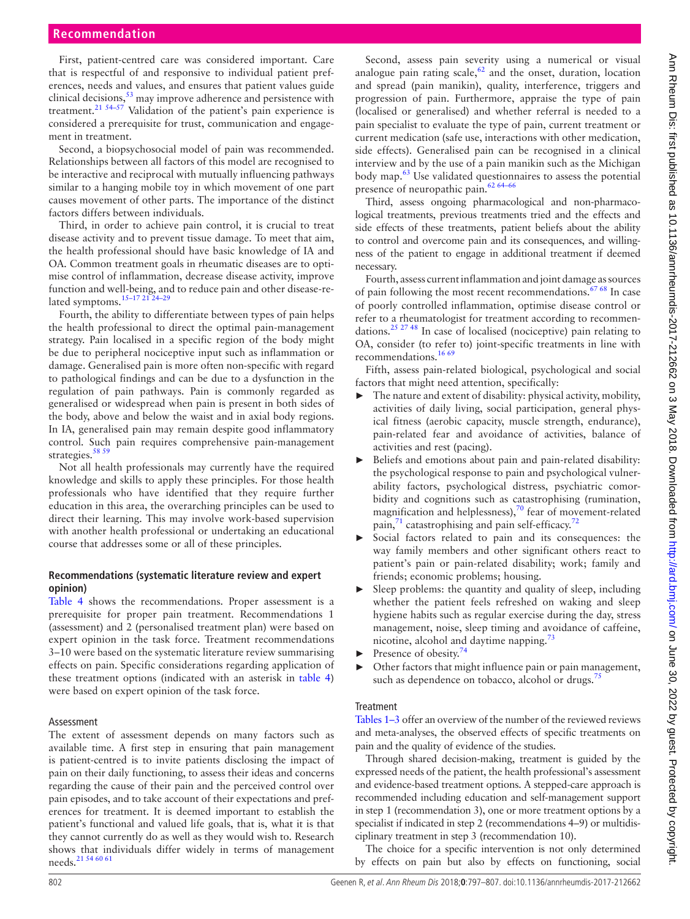#### **Recommendation**

First, patient-centred care was considered important. Care that is respectful of and responsive to individual patient preferences, needs and values, and ensures that patient values guide clinical decisions,<sup>[53](#page-9-20)</sup> may improve adherence and persistence with treatment.<sup>[21 54–57](#page-9-7)</sup> Validation of the patient's pain experience is considered a prerequisite for trust, communication and engagement in treatment.

Second, a biopsychosocial model of pain was recommended. Relationships between all factors of this model are recognised to be interactive and reciprocal with mutually influencing pathways similar to a hanging mobile toy in which movement of one part causes movement of other parts. The importance of the distinct factors differs between individuals.

Third, in order to achieve pain control, it is crucial to treat disease activity and to prevent tissue damage. To meet that aim, the health professional should have basic knowledge of IA and OA. Common treatment goals in rheumatic diseases are to optimise control of inflammation, decrease disease activity, improve function and well-being, and to reduce pain and other disease-related symptoms.<sup>15–17</sup> 21<sup>24–29</sup>

Fourth, the ability to differentiate between types of pain helps the health professional to direct the optimal pain-management strategy. Pain localised in a specific region of the body might be due to peripheral nociceptive input such as inflammation or damage. Generalised pain is more often non-specific with regard to pathological findings and can be due to a dysfunction in the regulation of pain pathways. Pain is commonly regarded as generalised or widespread when pain is present in both sides of the body, above and below the waist and in axial body regions. In IA, generalised pain may remain despite good inflammatory control. Such pain requires comprehensive pain-management strategies. $58\,59$ 

Not all health professionals may currently have the required knowledge and skills to apply these principles. For those health professionals who have identified that they require further education in this area, the overarching principles can be used to direct their learning. This may involve work-based supervision with another health professional or undertaking an educational course that addresses some or all of these principles.

## **Recommendations (systematic literature review and expert opinion)**

[Table](#page-6-0) 4 shows the recommendations. Proper assessment is a prerequisite for proper pain treatment. Recommendations 1 (assessment) and 2 (personalised treatment plan) were based on expert opinion in the task force. Treatment recommendations 3–10 were based on the systematic literature review summarising effects on pain. Specific considerations regarding application of these treatment options (indicated with an asterisk in [table](#page-6-0) 4) were based on expert opinion of the task force.

#### Assessment

The extent of assessment depends on many factors such as available time. A first step in ensuring that pain management is patient-centred is to invite patients disclosing the impact of pain on their daily functioning, to assess their ideas and concerns regarding the cause of their pain and the perceived control over pain episodes, and to take account of their expectations and preferences for treatment. It is deemed important to establish the patient's functional and valued life goals, that is, what it is that they cannot currently do as well as they would wish to. Research shows that individuals differ widely in terms of management needs.<sup>21</sup> 54 60 61

Second, assess pain severity using a numerical or visual analogue pain rating scale, $62$  and the onset, duration, location and spread (pain manikin), quality, interference, triggers and progression of pain. Furthermore, appraise the type of pain (localised or generalised) and whether referral is needed to a pain specialist to evaluate the type of pain, current treatment or current medication (safe use, interactions with other medication, side effects). Generalised pain can be recognised in a clinical interview and by the use of a pain manikin such as the Michigan body map.<sup>[63](#page-9-23)</sup> Use validated questionnaires to assess the potential presence of neuropathic pain.<sup>62 64-66</sup>

Third, assess ongoing pharmacological and non-pharmacological treatments, previous treatments tried and the effects and side effects of these treatments, patient beliefs about the ability to control and overcome pain and its consequences, and willingness of the patient to engage in additional treatment if deemed necessary.

Fourth, assess current inflammation and joint damage as sources of pain following the most recent recommendations.<sup>[67 68](#page-9-24)</sup> In case of poorly controlled inflammation, optimise disease control or refer to a rheumatologist for treatment according to recommendations.<sup>25 27 48</sup> In case of localised (nociceptive) pain relating to OA, consider (to refer to) joint-specific treatments in line with recommendations.[16 69](#page-9-0)

Fifth, assess pain-related biological, psychological and social factors that might need attention, specifically:

- The nature and extent of disability: physical activity, mobility, activities of daily living, social participation, general physical fitness (aerobic capacity, muscle strength, endurance), pain-related fear and avoidance of activities, balance of activities and rest (pacing).
- Beliefs and emotions about pain and pain-related disability: the psychological response to pain and psychological vulnerability factors, psychological distress, psychiatric comorbidity and cognitions such as catastrophising (rumination, magnification and helplessness), $70$  fear of movement-related pain, $71$  catastrophising and pain self-efficacy. $72$
- Social factors related to pain and its consequences: the way family members and other significant others react to patient's pain or pain-related disability; work; family and friends; economic problems; housing.
- Sleep problems: the quantity and quality of sleep, including whether the patient feels refreshed on waking and sleep hygiene habits such as regular exercise during the day, stress management, noise, sleep timing and avoidance of caffeine, nicotine, alcohol and daytime napping.<sup>[73](#page-10-3)</sup>
- $\blacktriangleright$  Presence of obesity.<sup>[74](#page-10-4)</sup>
- ► Other factors that might influence pain or pain management, such as dependence on tobacco, alcohol or drugs.<sup>75</sup>

#### Treatment

[Tables](#page-3-0) 1–3 offer an overview of the number of the reviewed reviews and meta-analyses, the observed effects of specific treatments on pain and the quality of evidence of the studies.

Through shared decision-making, treatment is guided by the expressed needs of the patient, the health professional's assessment and evidence-based treatment options. A stepped-care approach is recommended including education and self-management support in step 1 (recommendation 3), one or more treatment options by a specialist if indicated in step 2 (recommendations 4–9) or multidisciplinary treatment in step 3 (recommendation 10).

The choice for a specific intervention is not only determined by effects on pain but also by effects on functioning, social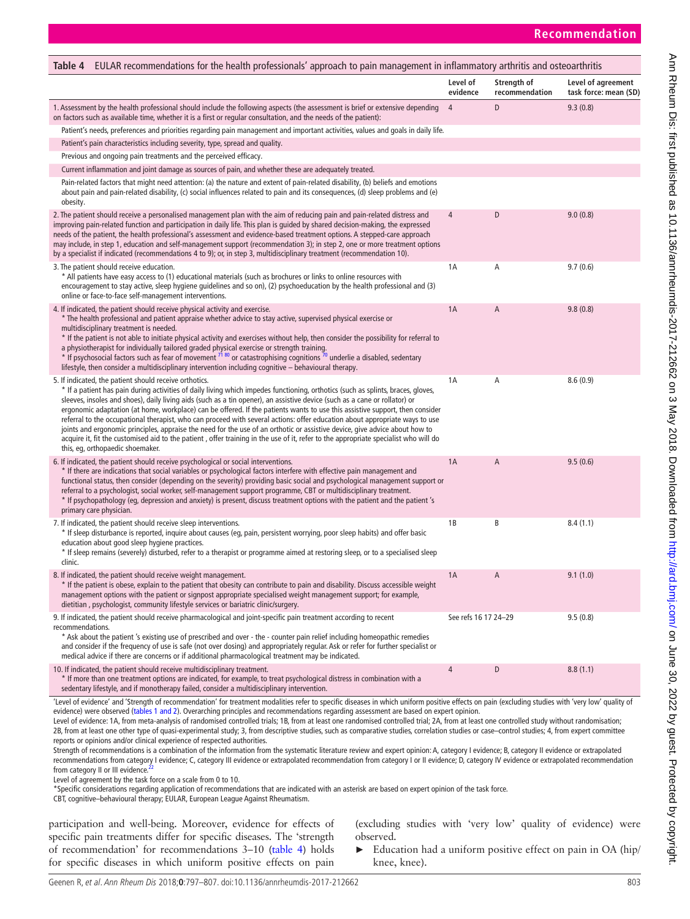<span id="page-6-0"></span>

| EULAR recommendations for the health professionals' approach to pain management in inflammatory arthritis and osteoarthritis<br>Table 4                                                                                                                                                                                                                                                                                                                                                                                                                                                                                                                                                                                                                                                                                                                                                           |                      |                               |                                             |  |
|---------------------------------------------------------------------------------------------------------------------------------------------------------------------------------------------------------------------------------------------------------------------------------------------------------------------------------------------------------------------------------------------------------------------------------------------------------------------------------------------------------------------------------------------------------------------------------------------------------------------------------------------------------------------------------------------------------------------------------------------------------------------------------------------------------------------------------------------------------------------------------------------------|----------------------|-------------------------------|---------------------------------------------|--|
|                                                                                                                                                                                                                                                                                                                                                                                                                                                                                                                                                                                                                                                                                                                                                                                                                                                                                                   | Level of<br>evidence | Strength of<br>recommendation | Level of agreement<br>task force: mean (SD) |  |
| 1. Assessment by the health professional should include the following aspects (the assessment is brief or extensive depending<br>on factors such as available time, whether it is a first or regular consultation, and the needs of the patient):                                                                                                                                                                                                                                                                                                                                                                                                                                                                                                                                                                                                                                                 | $\overline{4}$       | D                             | 9.3(0.8)                                    |  |
| Patient's needs, preferences and priorities regarding pain management and important activities, values and goals in daily life.                                                                                                                                                                                                                                                                                                                                                                                                                                                                                                                                                                                                                                                                                                                                                                   |                      |                               |                                             |  |
| Patient's pain characteristics including severity, type, spread and quality.                                                                                                                                                                                                                                                                                                                                                                                                                                                                                                                                                                                                                                                                                                                                                                                                                      |                      |                               |                                             |  |
| Previous and ongoing pain treatments and the perceived efficacy.                                                                                                                                                                                                                                                                                                                                                                                                                                                                                                                                                                                                                                                                                                                                                                                                                                  |                      |                               |                                             |  |
| Current inflammation and joint damage as sources of pain, and whether these are adequately treated.                                                                                                                                                                                                                                                                                                                                                                                                                                                                                                                                                                                                                                                                                                                                                                                               |                      |                               |                                             |  |
| Pain-related factors that might need attention: (a) the nature and extent of pain-related disability, (b) beliefs and emotions<br>about pain and pain-related disability, (c) social influences related to pain and its consequences, (d) sleep problems and (e)<br>obesity.                                                                                                                                                                                                                                                                                                                                                                                                                                                                                                                                                                                                                      |                      |                               |                                             |  |
| 2. The patient should receive a personalised management plan with the aim of reducing pain and pain-related distress and<br>improving pain-related function and participation in daily life. This plan is guided by shared decision-making, the expressed<br>needs of the patient, the health professional's assessment and evidence-based treatment options. A stepped-care approach<br>may include, in step 1, education and self-management support (recommendation 3); in step 2, one or more treatment options<br>by a specialist if indicated (recommendations 4 to 9); or, in step 3, multidisciplinary treatment (recommendation 10).                                                                                                                                                                                                                                                     | $\overline{4}$       | D                             | 9.0(0.8)                                    |  |
| 3. The patient should receive education.<br>* All patients have easy access to (1) educational materials (such as brochures or links to online resources with<br>encouragement to stay active, sleep hygiene guidelines and so on), (2) psychoeducation by the health professional and (3)<br>online or face-to-face self-management interventions.                                                                                                                                                                                                                                                                                                                                                                                                                                                                                                                                               | 1A                   | А                             | 9.7(0.6)                                    |  |
| 4. If indicated, the patient should receive physical activity and exercise.<br>* The health professional and patient appraise whether advice to stay active, supervised physical exercise or<br>multidisciplinary treatment is needed.<br>* If the patient is not able to initiate physical activity and exercises without help, then consider the possibility for referral to<br>a physiotherapist for individually tailored graded physical exercise or strength training.<br>* If psychosocial factors such as fear of movement 71.80 or catastrophising cognitions <sup>70</sup> underlie a disabled, sedentary<br>lifestyle, then consider a multidisciplinary intervention including cognitive – behavioural therapy.                                                                                                                                                                       | 1A                   | A                             | 9.8(0.8)                                    |  |
| 5. If indicated, the patient should receive orthotics.<br>* If a patient has pain during activities of daily living which impedes functioning, orthotics (such as splints, braces, gloves,<br>sleeves, insoles and shoes), daily living aids (such as a tin opener), an assistive device (such as a cane or rollator) or<br>ergonomic adaptation (at home, workplace) can be offered. If the patients wants to use this assistive support, then consider<br>referral to the occupational therapist, who can proceed with several actions: offer education about appropriate ways to use<br>joints and ergonomic principles, appraise the need for the use of an orthotic or assistive device, give advice about how to<br>acquire it, fit the customised aid to the patient, offer training in the use of it, refer to the appropriate specialist who will do<br>this, eg, orthopaedic shoemaker. | 1A                   | А                             | 8.6(0.9)                                    |  |
| 6. If indicated, the patient should receive psychological or social interventions.<br>* If there are indications that social variables or psychological factors interfere with effective pain management and<br>functional status, then consider (depending on the severity) providing basic social and psychological management support or<br>referral to a psychologist, social worker, self-management support programme, CBT or multidisciplinary treatment.<br>* If psychopathology (eg, depression and anxiety) is present, discuss treatment options with the patient and the patient 's<br>primary care physician.                                                                                                                                                                                                                                                                        | 1A                   | A                             | 9.5(0.6)                                    |  |
| 7. If indicated, the patient should receive sleep interventions.<br>* If sleep disturbance is reported, inquire about causes (eg, pain, persistent worrying, poor sleep habits) and offer basic<br>education about good sleep hygiene practices.<br>* If sleep remains (severely) disturbed, refer to a therapist or programme aimed at restoring sleep, or to a specialised sleep<br>clinic.                                                                                                                                                                                                                                                                                                                                                                                                                                                                                                     | 1B                   | B                             | 8.4(1.1)                                    |  |
| 8. If indicated, the patient should receive weight management.<br>* If the patient is obese, explain to the patient that obesity can contribute to pain and disability. Discuss accessible weight<br>management options with the patient or signpost appropriate specialised weight management support; for example,<br>dietitian, psychologist, community lifestyle services or bariatric clinic/surgery.                                                                                                                                                                                                                                                                                                                                                                                                                                                                                        | 1A                   | А                             | 9.1(1.0)                                    |  |
| 9. If indicated, the patient should receive pharmacological and joint-specific pain treatment according to recent<br>recommendations.<br>* Ask about the patient 's existing use of prescribed and over - the - counter pain relief including homeopathic remedies<br>and consider if the frequency of use is safe (not over dosing) and appropriately regular. Ask or refer for further specialist or<br>medical advice if there are concerns or if additional pharmacological treatment may be indicated.                                                                                                                                                                                                                                                                                                                                                                                       | See refs 16 17 24-29 |                               | 9.5(0.8)                                    |  |
| 10. If indicated, the patient should receive multidisciplinary treatment.<br>* If more than one treatment options are indicated, for example, to treat psychological distress in combination with a<br>sedentary lifestyle, and if monotherapy failed, consider a multidisciplinary intervention.<br>$\overline{1}$                                                                                                                                                                                                                                                                                                                                                                                                                                                                                                                                                                               | $\overline{4}$       | D                             | 8.8(1.1)                                    |  |
| $\overline{\phantom{a}}$<br>$\overline{\phantom{a}}$                                                                                                                                                                                                                                                                                                                                                                                                                                                                                                                                                                                                                                                                                                                                                                                                                                              |                      |                               |                                             |  |

'Level of evidence' and 'Strength of recommendation' for treatment modalities refer to specific diseases in which uniform positive effects on pain (excluding studies with 'very low' quality of evidence) were observed [\(tables 1 and 2](#page-3-0)). Overarching principles and recommendations regarding assessment are based on expert opinion.

Level of evidence: 1A, from meta-analysis of randomised controlled trials; 1B, from at least one randomised controlled trial; 2A, from at least one controlled study without randomisation; 2B, from at least one other type of quasi-experimental study; 3, from descriptive studies, such as comparative studies, correlation studies or case-control studies; 4, from expert committee reports or opinions and/or clinical experience of respected authorities.

Strength of recommendations is a combination of the information from the systematic literature review and expert opinion: A, category I evidence; B, category II evidence or extrapolated recommendations from category I evidence; C, category III evidence or extrapolated recommendation from category I or II evidence; D, category IV evidence or extrapolated recommendation<br>from category II or III evidence.<sup>[22](#page-9-4)</sup>

Level of agreement by the task force on a scale from 0 to 10.

\*Specific considerations regarding application of recommendations that are indicated with an asterisk are based on expert opinion of the task force.

CBT, cognitive–behavioural therapy; EULAR, European League Against Rheumatism.

participation and well-being. Moreover, evidence for effects of specific pain treatments differ for specific diseases. The 'strength of recommendation' for recommendations 3–10 ([table](#page-6-0) 4) holds for specific diseases in which uniform positive effects on pain

(excluding studies with 'very low' quality of evidence) were observed.

Education had a uniform positive effect on pain in OA (hip/ knee, knee).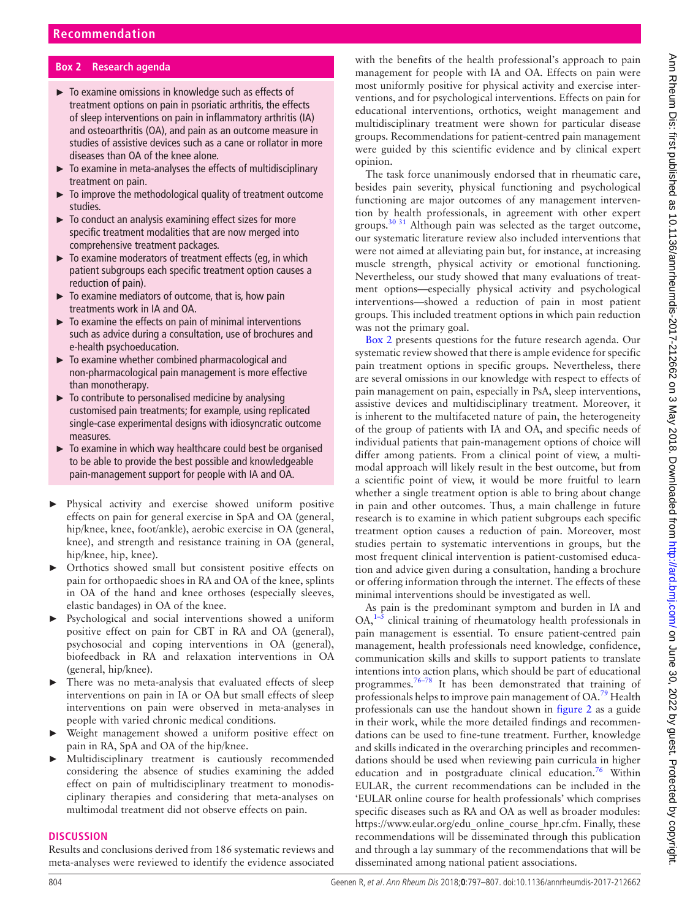## **Box 2 Research agenda**

- <span id="page-7-0"></span>► To examine omissions in knowledge such as effects of treatment options on pain in psoriatic arthritis, the effects of sleep interventions on pain in inflammatory arthritis (IA) and osteoarthritis (OA), and pain as an outcome measure in studies of assistive devices such as a cane or rollator in more diseases than OA of the knee alone.
- $\triangleright$  To examine in meta-analyses the effects of multidisciplinary treatment on pain.
- ► To improve the methodological quality of treatment outcome studies.
- ► To conduct an analysis examining effect sizes for more specific treatment modalities that are now merged into comprehensive treatment packages.
- ► To examine moderators of treatment effects (eg, in which patient subgroups each specific treatment option causes a reduction of pain).
- $\blacktriangleright$  To examine mediators of outcome, that is, how pain treatments work in IA and OA.
- $\blacktriangleright$  To examine the effects on pain of minimal interventions such as advice during a consultation, use of brochures and e-health psychoeducation.
- ► To examine whether combined pharmacological and non-pharmacological pain management is more effective than monotherapy.
- $\blacktriangleright$  To contribute to personalised medicine by analysing customised pain treatments; for example, using replicated single-case experimental designs with idiosyncratic outcome measures.
- $\triangleright$  To examine in which way healthcare could best be organised to be able to provide the best possible and knowledgeable pain-management support for people with IA and OA.
- ► Physical activity and exercise showed uniform positive effects on pain for general exercise in SpA and OA (general, hip/knee, knee, foot/ankle), aerobic exercise in OA (general, knee), and strength and resistance training in OA (general, hip/knee, hip, knee).
- ► Orthotics showed small but consistent positive effects on pain for orthopaedic shoes in RA and OA of the knee, splints in OA of the hand and knee orthoses (especially sleeves, elastic bandages) in OA of the knee.
- ► Psychological and social interventions showed a uniform positive effect on pain for CBT in RA and OA (general), psychosocial and coping interventions in OA (general), biofeedback in RA and relaxation interventions in OA (general, hip/knee).
- There was no meta-analysis that evaluated effects of sleep interventions on pain in IA or OA but small effects of sleep interventions on pain were observed in meta-analyses in people with varied chronic medical conditions.
- Weight management showed a uniform positive effect on pain in RA, SpA and OA of the hip/knee.
- Multidisciplinary treatment is cautiously recommended considering the absence of studies examining the added effect on pain of multidisciplinary treatment to monodisciplinary therapies and considering that meta-analyses on multimodal treatment did not observe effects on pain.

#### **Discussion**

Results and conclusions derived from 186 systematic reviews and meta-analyses were reviewed to identify the evidence associated

with the benefits of the health professional's approach to pain management for people with IA and OA. Effects on pain were most uniformly positive for physical activity and exercise interventions, and for psychological interventions. Effects on pain for educational interventions, orthotics, weight management and multidisciplinary treatment were shown for particular disease groups. Recommendations for patient-centred pain management were guided by this scientific evidence and by clinical expert opinion.

The task force unanimously endorsed that in rheumatic care, besides pain severity, physical functioning and psychological functioning are major outcomes of any management intervention by health professionals, in agreement with other expert groups.<sup>30 31</sup> Although pain was selected as the target outcome, our systematic literature review also included interventions that were not aimed at alleviating pain but, for instance, at increasing muscle strength, physical activity or emotional functioning. Nevertheless, our study showed that many evaluations of treatment options—especially physical activity and psychological interventions—showed a reduction of pain in most patient groups. This included treatment options in which pain reduction was not the primary goal.

[Box](#page-7-0) 2 presents questions for the future research agenda. Our systematic review showed that there is ample evidence for specific pain treatment options in specific groups. Nevertheless, there are several omissions in our knowledge with respect to effects of pain management on pain, especially in PsA, sleep interventions, assistive devices and multidisciplinary treatment. Moreover, it is inherent to the multifaceted nature of pain, the heterogeneity of the group of patients with IA and OA, and specific needs of individual patients that pain-management options of choice will differ among patients. From a clinical point of view, a multimodal approach will likely result in the best outcome, but from a scientific point of view, it would be more fruitful to learn whether a single treatment option is able to bring about change in pain and other outcomes. Thus, a main challenge in future research is to examine in which patient subgroups each specific treatment option causes a reduction of pain. Moreover, most studies pertain to systematic interventions in groups, but the most frequent clinical intervention is patient-customised education and advice given during a consultation, handing a brochure or offering information through the internet. The effects of these minimal interventions should be investigated as well.

As pain is the predominant symptom and burden in IA and  $OA<sub>1</sub><sup>1–5</sup>$  clinical training of rheumatology health professionals in pain management is essential. To ensure patient-centred pain management, health professionals need knowledge, confidence, communication skills and skills to support patients to translate intentions into action plans, which should be part of educational programmes.<sup>[76–78](#page-10-6)</sup> It has been demonstrated that training of professionals helps to improve pain management of OA.<sup>79</sup> Health professionals can use the handout shown in [figure](#page-8-5) 2 as a guide in their work, while the more detailed findings and recommendations can be used to fine-tune treatment. Further, knowledge and skills indicated in the overarching principles and recommendations should be used when reviewing pain curricula in higher education and in postgraduate clinical education.<sup>76</sup> Within EULAR, the current recommendations can be included in the 'EULAR online course for health professionals' which comprises specific diseases such as RA and OA as well as broader modules: [https://www.eular.org/edu\\_online\\_course\\_hpr.cfm.](https://www.eular.org/edu_online_course_hpr.cfm.) Finally, these recommendations will be disseminated through this publication and through a lay summary of the recommendations that will be disseminated among national patient associations.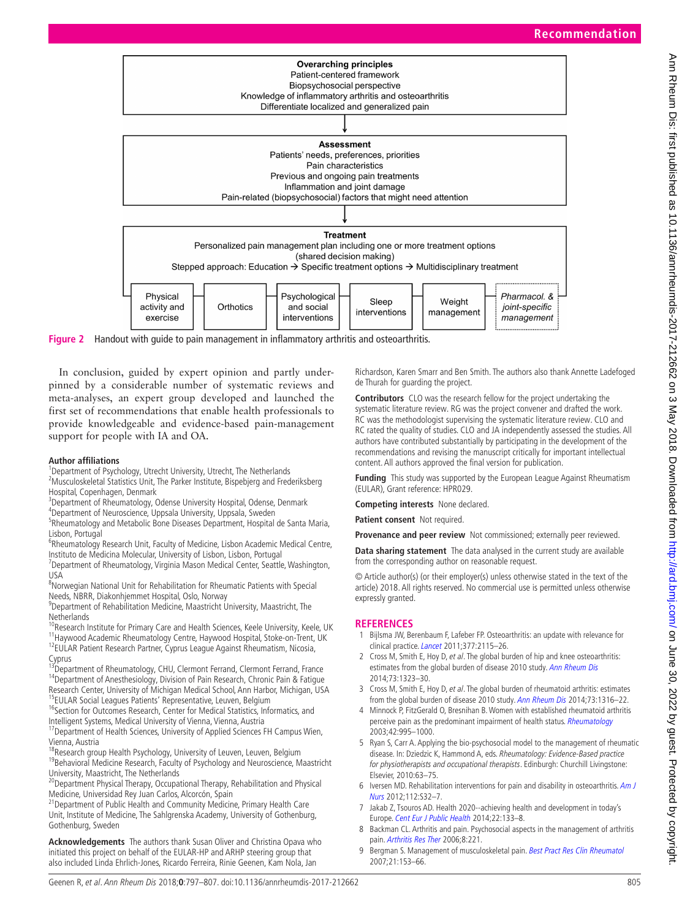

<span id="page-8-5"></span>Figure 2 Handout with guide to pain management in inflammatory arthritis and osteoarthritis.

In conclusion, guided by expert opinion and partly underpinned by a considerable number of systematic reviews and meta-analyses, an expert group developed and launched the first set of recommendations that enable health professionals to provide knowledgeable and evidence-based pain-management support for people with IA and OA.

#### **Author affiliations**

- <sup>1</sup>Department of Psychology, Utrecht University, Utrecht, The Netherlands <sup>2</sup>Musculoskeletal Statistics Unit, The Parker Institute, Bispebjerg and Frederiksberg Hospital, Copenhagen, Denmark
- <sup>3</sup>Department of Rheumatology, Odense University Hospital, Odense, Denmark
- 4 Department of Neuroscience, Uppsala University, Uppsala, Sweden
- <sup>5</sup>Rheumatology and Metabolic Bone Diseases Department, Hospital de Santa Maria, Lisbon, Portugal
- <sup>6</sup>Rheumatology Research Unit, Faculty of Medicine, Lisbon Academic Medical Centre, Instituto de Medicina Molecular, University of Lisbon, Lisbon, Portugal
- <sup>7</sup>Department of Rheumatology, Virginia Mason Medical Center, Seattle, Washington, USA
- <sup>8</sup>Norwegian National Unit for Rehabilitation for Rheumatic Patients with Special Needs, NBRR, Diakonhjemmet Hospital, Oslo, Norway
- 9 Department of Rehabilitation Medicine, Maastricht University, Maastricht, The **Netherlands**
- <sup>10</sup>Research Institute for Primary Care and Health Sciences, Keele University, Keele, UK 11Haywood Academic Rheumatology Centre, Haywood Hospital, Stoke-on-Trent, UK
- <sup>12</sup>EULAR Patient Research Partner, Cyprus League Against Rheumatism, Nicosia, Cyprus
- <sup>3</sup>Department of Rheumatology, CHU, Clermont Ferrand, Clermont Ferrand, France <sup>14</sup>Department of Anesthesiology, Division of Pain Research, Chronic Pain & Fatigue Research Center, University of Michigan Medical School, Ann Harbor, Michigan, USA <sup>15</sup>EULAR Social Leagues Patients' Representative, Leuven, Belgium
- <sup>16</sup>Section for Outcomes Research, Center for Medical Statistics, Informatics, and Intelligent Systems, Medical University of Vienna, Vienna, Austria
- <sup>17</sup>Department of Health Sciences, University of Applied Sciences FH Campus Wien, Vienna, Austria
- 18Research group Health Psychology, University of Leuven, Leuven, Belgium <sup>19</sup>Behavioral Medicine Research, Faculty of Psychology and Neuroscience, Maastricht University, Maastricht, The Netherlands
- 20Department Physical Therapy, Occupational Therapy, Rehabilitation and Physical Medicine, Universidad Rey Juan Carlos, Alcorcón, Spain
- <sup>1</sup>Department of Public Health and Community Medicine, Primary Health Care Unit, Institute of Medicine, The Sahlgrenska Academy, University of Gothenburg, Gothenburg, Sweden

**Acknowledgements** The authors thank Susan Oliver and Christina Opava who initiated this project on behalf of the EULAR-HP and ARHP steering group that also included Linda Ehrlich-Jones, Ricardo Ferreira, Rinie Geenen, Kam Nola, Jan

Richardson, Karen Smarr and Ben Smith. The authors also thank Annette Ladefoged de Thurah for guarding the project.

**Contributors** CLO was the research fellow for the project undertaking the systematic literature review. RG was the project convener and drafted the work. RC was the methodologist supervising the systematic literature review. CLO and RC rated the quality of studies. CLO and JA independently assessed the studies. All authors have contributed substantially by participating in the development of the recommendations and revising the manuscript critically for important intellectual content. All authors approved the final version for publication.

**Funding** This study was supported by the European League Against Rheumatism (EULAR), Grant reference: HPR029.

**Competing interests** None declared.

**Patient consent** Not required.

**Provenance and peer review** Not commissioned; externally peer reviewed.

**Data sharing statement** The data analysed in the current study are available from the corresponding author on reasonable request.

© Article author(s) (or their employer(s) unless otherwise stated in the text of the article) 2018. All rights reserved. No commercial use is permitted unless otherwise expressly granted.

#### **References**

- <span id="page-8-0"></span>1 Bijlsma JW, Berenbaum F, Lafeber FP. Osteoarthritis: an update with relevance for clinical practice. [Lancet](http://dx.doi.org/10.1016/S0140-6736(11)60243-2) 2011;377:2115–26.
- 2 Cross M, Smith E, Hoy D, et al. The global burden of hip and knee osteoarthritis: estimates from the global burden of disease 2010 study. [Ann Rheum Dis](http://dx.doi.org/10.1136/annrheumdis-2013-204763) 2014;73:1323–30.
- 3 Cross M, Smith E, Hoy D, et al. The global burden of rheumatoid arthritis: estimates from the global burden of disease 2010 study. [Ann Rheum Dis](http://dx.doi.org/10.1136/annrheumdis-2013-204627) 2014;73:1316-22.
- 4 Minnock P, FitzGerald O, Bresnihan B. Women with established rheumatoid arthritis perceive pain as the predominant impairment of health status. [Rheumatology](http://dx.doi.org/10.1093/rheumatology/keg281) 2003;42:995–1000.
- 5 Ryan S, Carr A. Applying the bio-psychosocial model to the management of rheumatic disease. In: Dziedzic K, Hammond A, eds. Rheumatology: Evidence-Based practice for physiotherapists and occupational therapists. Edinburgh: Churchill Livingstone: Elsevier, 2010:63–75.
- <span id="page-8-1"></span>6 Iversen MD. Rehabilitation interventions for pain and disability in osteoarthritis. [Am J](http://dx.doi.org/10.1097/01.NAJ.0000412649.02926.35)  [Nurs](http://dx.doi.org/10.1097/01.NAJ.0000412649.02926.35) 2012;112:S32–7.
- <span id="page-8-2"></span>7 Jakab Z, Tsouros AD. Health 2020--achieving health and development in today's Europe. [Cent Eur J Public Health](http://dx.doi.org/10.21101/cejph.a4045) 2014;22:133–8.
- <span id="page-8-3"></span>8 Backman CL. Arthritis and pain. Psychosocial aspects in the management of arthritis pain. [Arthritis Res Ther](http://dx.doi.org/10.1186/ar2083) 2006;8:221.
- <span id="page-8-4"></span>9 Bergman S. Management of musculoskeletal pain. [Best Pract Res Clin Rheumatol](http://dx.doi.org/10.1016/j.berh.2006.10.001) 2007;21:153–66.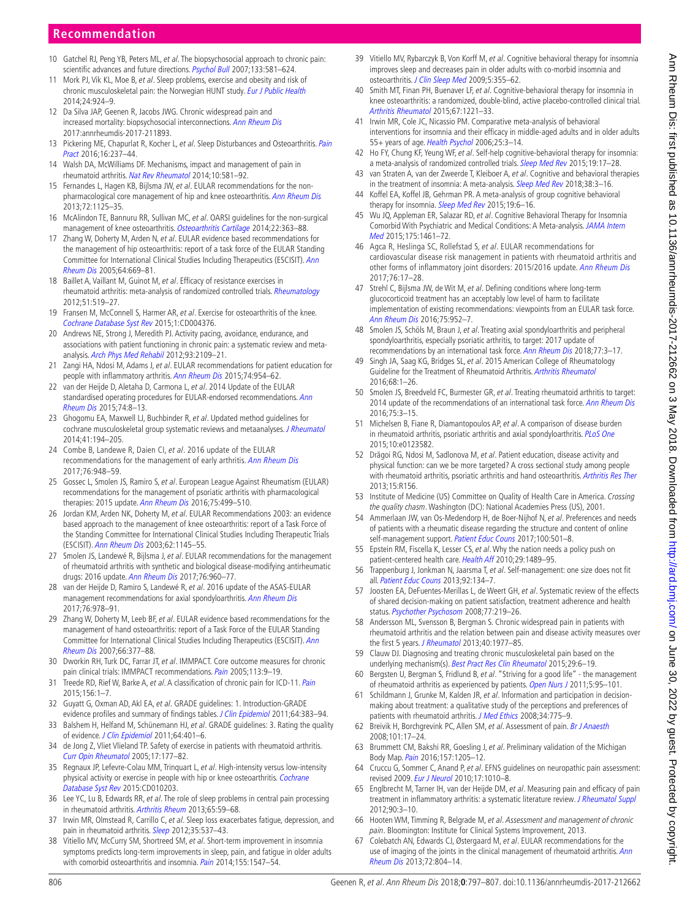## **Recommendation**

- 10 Gatchel RJ, Peng YB, Peters ML, et al. The biopsychosocial approach to chronic pain: scientific advances and future directions. [Psychol Bull](http://dx.doi.org/10.1037/0033-2909.133.4.581) 2007;133:581-624.
- 11 Mork PJ, Vik KL, Moe B, et al. Sleep problems, exercise and obesity and risk of chronic musculoskeletal pain: the Norwegian HUNT study. [Eur J Public Health](http://dx.doi.org/10.1093/eurpub/ckt198) 2014;24:924–9.
- 12 Da Silva JAP, Geenen R, Jacobs JWG. Chronic widespread pain and increased mortality: biopsychosocial interconnections. [Ann Rheum Dis](http://dx.doi.org/10.1136/annrheumdis-2017-211893) 2017:annrheumdis-2017-211893.
- <span id="page-9-11"></span>13 Pickering ME, Chapurlat R, Kocher L, et al. Sleep Disturbances and Osteoarthritis. Pain [Pract](http://dx.doi.org/10.1111/papr.12271) 2016;16:237–44.
- 14 Walsh DA, McWilliams DF. Mechanisms, impact and management of pain in rheumatoid arthritis. [Nat Rev Rheumatol](http://dx.doi.org/10.1038/nrrheum.2014.64) 2014;10:581–92.
- <span id="page-9-3"></span>15 Fernandes L, Hagen KB, Bijlsma JW, et al. EULAR recommendations for the non-pharmacological core management of hip and knee osteoarthritis. [Ann Rheum Dis](http://dx.doi.org/10.1136/annrheumdis-2012-202745) 2013;72:1125–35.
- <span id="page-9-0"></span>16 McAlindon TE, Bannuru RR, Sullivan MC, et al. OARSI guidelines for the non-surgical management of knee osteoarthritis. [Osteoarthritis Cartilage](http://dx.doi.org/10.1016/j.joca.2014.01.003) 2014;22:363-88.
- <span id="page-9-17"></span>17 Zhang W, Doherty M, Arden N, et al. EULAR evidence based recommendations for the management of hip osteoarthritis: report of a task force of the EULAR Standing Committee for International Clinical Studies Including Therapeutics (ESCISIT). [Ann](http://dx.doi.org/10.1136/ard.2004.028886)  [Rheum Dis](http://dx.doi.org/10.1136/ard.2004.028886) 2005;64:669–81.
- <span id="page-9-1"></span>18 Baillet A, Vaillant M, Guinot M, et al. Efficacy of resistance exercises in rheumatoid arthritis: meta-analysis of randomized controlled trials. [Rheumatology](http://dx.doi.org/10.1093/rheumatology/ker330) 2012;51:519–27.
- 19 Fransen M, McConnell S, Harmer AR, et al. Exercise for osteoarthritis of the knee. [Cochrane Database Syst Rev](http://dx.doi.org/10.1002/14651858.CD004376.pub3) 2015;1:CD004376.
- <span id="page-9-2"></span>20 Andrews NE, Strong J, Meredith PJ. Activity pacing, avoidance, endurance, and associations with patient functioning in chronic pain: a systematic review and metaanalysis. [Arch Phys Med Rehabil](http://dx.doi.org/10.1016/j.apmr.2012.05.029) 2012;93:2109–21.
- <span id="page-9-7"></span>21 Zangi HA, Ndosi M, Adams J, et al. EULAR recommendations for patient education for people with inflammatory arthritis. [Ann Rheum Dis](http://dx.doi.org/10.1136/annrheumdis-2014-206807) 2015;74:954-62.
- <span id="page-9-4"></span>22 van der Heijde D, Aletaha D, Carmona L, et al. 2014 Update of the EULAR standardised operating procedures for EULAR-endorsed recommendations. Ann [Rheum Dis](http://dx.doi.org/10.1136/annrheumdis-2014-206350) 2015;74:8–13.
- <span id="page-9-5"></span>23 Ghogomu EA, Maxwell LJ, Buchbinder R, et al. Updated method guidelines for cochrane musculoskeletal group systematic reviews and metaanalyses. [J Rheumatol](http://dx.doi.org/10.3899/jrheum.121306) 2014;41:194–205.
- 24 Combe B, Landewe R, Daien CI, et al. 2016 update of the EULAR recommendations for the management of early arthritis. [Ann Rheum Dis](http://dx.doi.org/10.1136/annrheumdis-2016-210602) 2017;76:948–59.
- <span id="page-9-25"></span>25 Gossec L, Smolen JS, Ramiro S, et al. European League Against Rheumatism (EULAR) recommendations for the management of psoriatic arthritis with pharmacological therapies: 2015 update. [Ann Rheum Dis](http://dx.doi.org/10.1136/annrheumdis-2015-208337) 2016;75:499-510.
- 26 Jordan KM, Arden NK, Doherty M, et al. EULAR Recommendations 2003: an evidence based approach to the management of knee osteoarthritis: report of a Task Force of the Standing Committee for International Clinical Studies Including Therapeutic Trials (ESCISIT). [Ann Rheum Dis](http://dx.doi.org/10.1136/ard.2003.011742) 2003;62:1145–55.
- 27 Smolen JS, Landewé R, Bijlsma J, et al. EULAR recommendations for the management of rheumatoid arthritis with synthetic and biological disease-modifying antirheumatic drugs: 2016 update. [Ann Rheum Dis](http://dx.doi.org/10.1136/annrheumdis-2016-210715) 2017;76:960–77.
- 28 van der Heijde D, Ramiro S, Landewé R, et al. 2016 update of the ASAS-EULAR management recommendations for axial spondyloarthritis. [Ann Rheum Dis](http://dx.doi.org/10.1136/annrheumdis-2016-210770) 2017;76:978–91.
- 29 Zhang W, Doherty M, Leeb BF, et al. EULAR evidence based recommendations for the management of hand osteoarthritis: report of a Task Force of the EULAR Standing Committee for International Clinical Studies Including Therapeutics (ESCISIT). [Ann](http://dx.doi.org/10.1136/ard.2006.062091)  [Rheum Dis](http://dx.doi.org/10.1136/ard.2006.062091) 2007;66:377–88.
- <span id="page-9-6"></span>30 Dworkin RH, Turk DC, Farrar JT, et al. IMMPACT. Core outcome measures for chronic pain clinical trials: IMMPACT recommendations. [Pain](http://dx.doi.org/10.1016/j.pain.2004.09.012) 2005;113:9-19.
- 31 Treede RD, Rief W, Barke A, et al. A classification of chronic pain for ICD-11. [Pain](http://dx.doi.org/10.1097/j.pain.0000000000000160) 2015;156:1–7.
- <span id="page-9-8"></span>32 Guyatt G, Oxman AD, Akl EA, et al. GRADE guidelines: 1. Introduction-GRADE evidence profiles and summary of findings tables. [J Clin Epidemiol](http://dx.doi.org/10.1016/j.jclinepi.2010.04.026) 2011;64:383-94.
- <span id="page-9-9"></span>33 Balshem H, Helfand M, Schünemann HJ, et al. GRADE guidelines: 3. Rating the quality of evidence. [J Clin Epidemiol](http://dx.doi.org/10.1016/j.jclinepi.2010.07.015) 2011;64:401-6.
- <span id="page-9-10"></span>34 de Jong Z, Vliet Vlieland TP. Safety of exercise in patients with rheumatoid arthritis. [Curr Opin Rheumatol](http://dx.doi.org/10.1097/01.bor.0000151400.33899.88) 2005;17:177–82.
- 35 Regnaux JP, Lefevre-Colau MM, Trinquart L, et al. High-intensity versus low-intensity physical activity or exercise in people with hip or knee osteoarthritis. Cochrane [Database Syst Rev](http://dx.doi.org/10.1002/14651858.CD010203.pub2) 2015:CD010203.
- 36 Lee YC, Lu B, Edwards RR, et al. The role of sleep problems in central pain processing in rheumatoid arthritis. [Arthritis Rheum](http://dx.doi.org/10.1002/art.37733) 2013;65:59-68.
- 37 Irwin MR, Olmstead R, Carrillo C, et al. Sleep loss exacerbates fatigue, depression, and pain in rheumatoid arthritis. [Sleep](http://dx.doi.org/10.5665/sleep.1742) 2012;35:537-43.
- 38 Vitiello MV, McCurry SM, Shortreed SM, et al. Short-term improvement in insomnia symptoms predicts long-term improvements in sleep, pain, and fatigue in older adults with comorbid osteoarthritis and insomnia. [Pain](http://dx.doi.org/10.1016/j.pain.2014.04.032) 2014;155:1547-54.
- <span id="page-9-12"></span>39 Vitiello MV, Rybarczyk B, Von Korff M, et al. Cognitive behavioral therapy for insomnia improves sleep and decreases pain in older adults with co-morbid insomnia and osteoarthritis. [J Clin Sleep Med](http://www.ncbi.nlm.nih.gov/pubmed/19968014) 2009;5:355–62.
- <span id="page-9-13"></span>40 Smith MT, Finan PH, Buenaver LF, et al. Cognitive-behavioral therapy for insomnia in knee osteoarthritis: a randomized, double-blind, active placebo-controlled clinical trial. [Arthritis Rheumatol](http://dx.doi.org/10.1002/art.39048) 2015;67:1221–33.
- <span id="page-9-14"></span>41 Irwin MR, Cole JC, Nicassio PM. Comparative meta-analysis of behavioral interventions for insomnia and their efficacy in middle-aged adults and in older adults 55+ years of age. [Health Psychol](http://dx.doi.org/10.1037/0278-6133.25.1.3) 2006;25:3–14.
- 42 Ho FY, Chung KF, Yeung WF, et al. Self-help cognitive-behavioral therapy for insomnia: a meta-analysis of randomized controlled trials. [Sleep Med Rev](http://dx.doi.org/10.1016/j.smrv.2014.06.010) 2015:19:17-28.
- <span id="page-9-15"></span>43 van Straten A, van der Zweerde T, Kleiboer A, et al. Cognitive and behavioral therapies in the treatment of insomnia: A meta-analysis. [Sleep Med Rev](http://dx.doi.org/10.1016/j.smrv.2017.02.001) 2018;38:3-16.
- <span id="page-9-16"></span>44 Koffel EA, Koffel JB, Gehrman PR. A meta-analysis of group cognitive behavioral therapy for insomnia. [Sleep Med Rev](http://dx.doi.org/10.1016/j.smrv.2014.05.001) 2015;19:6-16.
- 45 Wu JQ, Appleman ER, Salazar RD, et al. Cognitive Behavioral Therapy for Insomnia Comorbid With Psychiatric and Medical Conditions: A Meta-analysis. [JAMA Intern](http://dx.doi.org/10.1001/jamainternmed.2015.3006)  [Med](http://dx.doi.org/10.1001/jamainternmed.2015.3006) 2015;175:1461–72.
- 46 Agca R, Heslinga SC, Rollefstad S, et al. EULAR recommendations for cardiovascular disease risk management in patients with rheumatoid arthritis and other forms of inflammatory joint disorders: 2015/2016 update. [Ann Rheum Dis](http://dx.doi.org/10.1136/annrheumdis-2016-209775) 2017;76:17–28.
- 47 Strehl C, Bijlsma JW, de Wit M, et al. Defining conditions where long-term glucocorticoid treatment has an acceptably low level of harm to facilitate implementation of existing recommendations: viewpoints from an EULAR task force. [Ann Rheum Dis](http://dx.doi.org/10.1136/annrheumdis-2015-208916) 2016;75:952–7.
- 48 Smolen JS, Schöls M, Braun J, et al. Treating axial spondyloarthritis and peripheral spondyloarthritis, especially psoriatic arthritis, to target: 2017 update of recommendations by an international task force. [Ann Rheum Dis](http://dx.doi.org/10.1136/annrheumdis-2017-211734) 2018;77:3–17.
- 49 Singh JA, Saag KG, Bridges SL, et al. 2015 American College of Rheumatology Guideline for the Treatment of Rheumatoid Arthritis. [Arthritis Rheumatol](http://dx.doi.org/10.1002/art.39480) 2016;68:1–26.
- 50 Smolen JS, Breedveld FC, Burmester GR, et al. Treating rheumatoid arthritis to target: 2014 update of the recommendations of an international task force. [Ann Rheum Dis](http://dx.doi.org/10.1136/annrheumdis-2015-207524) 2016;75:3–15.
- <span id="page-9-18"></span>51 Michelsen B, Fiane R, Diamantopoulos AP, et al. A comparison of disease burden in rheumatoid arthritis, psoriatic arthritis and axial spondyloarthritis. [PLoS One](http://dx.doi.org/10.1371/journal.pone.0123582) 2015;10:e0123582.
- <span id="page-9-19"></span>52 Drăgoi RG, Ndosi M, Sadlonova M, et al. Patient education, disease activity and physical function: can we be more targeted? A cross sectional study among people with rheumatoid arthritis, psoriatic arthritis and hand osteoarthritis. [Arthritis Res Ther](http://dx.doi.org/10.1186/ar4339) 2013;15:R156.
- <span id="page-9-20"></span>53 Institute of Medicine (US) Committee on Quality of Health Care in America. Crossing the quality chasm. Washington (DC): National Academies Press (US), 2001.
- 54 Ammerlaan JW, van Os-Medendorp H, de Boer-Nijhof N, et al. Preferences and needs of patients with a rheumatic disease regarding the structure and content of online self-management support. [Patient Educ Couns](http://dx.doi.org/10.1016/j.pec.2016.10.009) 2017;100:501-8.
- 55 Epstein RM, Fiscella K, Lesser CS, et al. Why the nation needs a policy push on patient-centered health care. [Health Aff](http://dx.doi.org/10.1377/hlthaff.2009.0888) 2010;29:1489-95.
- 56 Trappenburg J, Jonkman N, Jaarsma T, et al. Self-management: one size does not fit all. [Patient Educ Couns](http://dx.doi.org/10.1016/j.pec.2013.02.009) 2013;92:134–7.
- 57 Joosten EA, DeFuentes-Merillas L, de Weert GH, et al. Systematic review of the effects of shared decision-making on patient satisfaction, treatment adherence and health status. [Psychother Psychosom](http://dx.doi.org/10.1159/000126073) 2008;77:219–26.
- <span id="page-9-21"></span>58 Andersson ML, Svensson B, Bergman S. Chronic widespread pain in patients with rheumatoid arthritis and the relation between pain and disease activity measures over the first 5 years. *[J Rheumatol](http://dx.doi.org/10.3899/jrheum.130493)* 2013;40:1977-85.
- 59 Clauw DJ. Diagnosing and treating chronic musculoskeletal pain based on the underlying mechanism(s). [Best Pract Res Clin Rheumatol](http://dx.doi.org/10.1016/j.berh.2015.04.024) 2015;29:6-19.
- 60 Bergsten U, Bergman S, Fridlund B, et al. "Striving for a good life" the management of rheumatoid arthritis as experienced by patients. [Open Nurs J](http://dx.doi.org/10.2174/1874434601105010095) 2011;5:95-101.
- 61 Schildmann J, Grunke M, Kalden JR, et al. Information and participation in decisionmaking about treatment: a qualitative study of the perceptions and preferences of patients with rheumatoid arthritis. [J Med Ethics](http://dx.doi.org/10.1136/jme.2007.023705) 2008;34:775-9.
- <span id="page-9-22"></span>62 Breivik H, Borchgrevink PC, Allen SM, et al. Assessment of pain. [Br J Anaesth](http://dx.doi.org/10.1093/bja/aen103) 2008;101:17–24.
- <span id="page-9-23"></span>63 Brummett CM, Bakshi RR, Goesling J, et al. Preliminary validation of the Michigan Body Map. *[Pain](http://dx.doi.org/10.1097/j.pain.0000000000000506)* 2016;157:1205-12.
- Cruccu G, Sommer C, Anand P, et al. EFNS guidelines on neuropathic pain assessment: revised 2009. [Eur J Neurol](http://dx.doi.org/10.1111/j.1468-1331.2010.02969.x) 2010;17:1010–8.
- 65 Englbrecht M, Tarner IH, van der Heijde DM, et al. Measuring pain and efficacy of pain treatment in inflammatory arthritis: a systematic literature review. [J Rheumatol Suppl](http://dx.doi.org/10.3899/jrheum.120335) 2012;90:3–10.
- 66 Hooten WM, Timming R, Belgrade M, et al. Assessment and management of chronic pain. Bloomington: Institute for Clinical Systems Improvement, 2013.
- <span id="page-9-24"></span>67 Colebatch AN, Edwards CJ, Østergaard M, et al. EULAR recommendations for the use of imaging of the joints in the clinical management of rheumatoid arthritis. Ann [Rheum Dis](http://dx.doi.org/10.1136/annrheumdis-2012-203158) 2013;72:804–14.